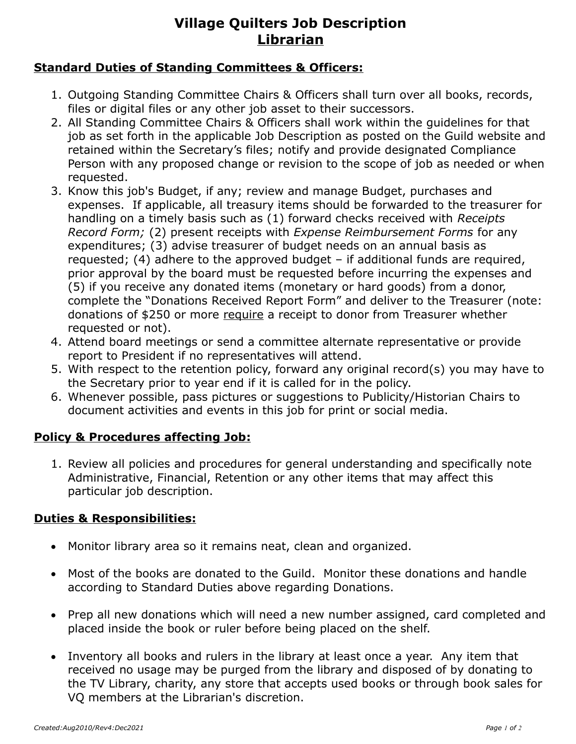# **Village Quilters Job Description Librarian**

### **Standard Duties of Standing Committees & Officers:**

- 1. Outgoing Standing Committee Chairs & Officers shall turn over all books, records, files or digital files or any other job asset to their successors.
- 2. All Standing Committee Chairs & Officers shall work within the guidelines for that job as set forth in the applicable Job Description as posted on the Guild website and retained within the Secretary's files; notify and provide designated Compliance Person with any proposed change or revision to the scope of job as needed or when requested.
- 3. Know this job's Budget, if any; review and manage Budget, purchases and expenses. If applicable, all treasury items should be forwarded to the treasurer for handling on a timely basis such as (1) forward checks received with *Receipts Record Form;* (2) present receipts with *Expense Reimbursement Forms* for any expenditures; (3) advise treasurer of budget needs on an annual basis as requested; (4) adhere to the approved budget – if additional funds are required, prior approval by the board must be requested before incurring the expenses and (5) if you receive any donated items (monetary or hard goods) from a donor, complete the "Donations Received Report Form" and deliver to the Treasurer (note: donations of \$250 or more require a receipt to donor from Treasurer whether requested or not).
- 4. Attend board meetings or send a committee alternate representative or provide report to President if no representatives will attend.
- 5. With respect to the retention policy, forward any original record(s) you may have to the Secretary prior to year end if it is called for in the policy.
- 6. Whenever possible, pass pictures or suggestions to Publicity/Historian Chairs to document activities and events in this job for print or social media.

### **Policy & Procedures affecting Job:**

1. Review all policies and procedures for general understanding and specifically note Administrative, Financial, Retention or any other items that may affect this particular job description.

#### **Duties & Responsibilities:**

- Monitor library area so it remains neat, clean and organized.
- Most of the books are donated to the Guild. Monitor these donations and handle according to Standard Duties above regarding Donations.
- Prep all new donations which will need a new number assigned, card completed and placed inside the book or ruler before being placed on the shelf.
- Inventory all books and rulers in the library at least once a year. Any item that received no usage may be purged from the library and disposed of by donating to the TV Library, charity, any store that accepts used books or through book sales for VQ members at the Librarian's discretion.